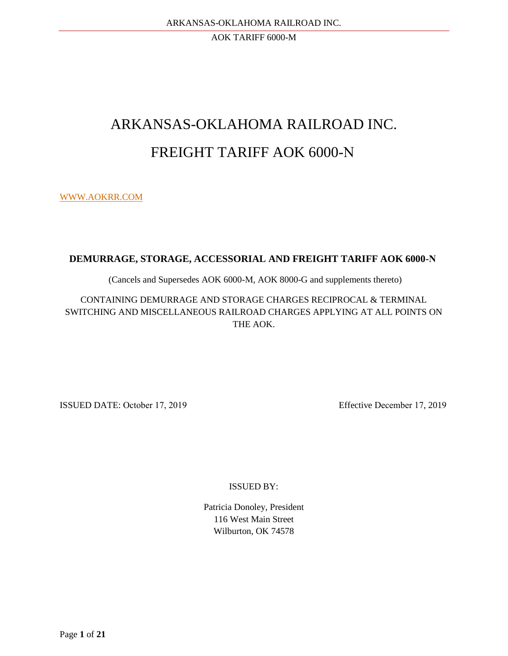# ARKANSAS-OKLAHOMA RAILROAD INC. FREIGHT TARIFF AOK 6000-N

[WWW.AOKRR.COM](http://www.aokrr.com/)

# **DEMURRAGE, STORAGE, ACCESSORIAL AND FREIGHT TARIFF AOK 6000-N**

(Cancels and Supersedes AOK 6000-M, AOK 8000-G and supplements thereto)

CONTAINING DEMURRAGE AND STORAGE CHARGES RECIPROCAL & TERMINAL SWITCHING AND MISCELLANEOUS RAILROAD CHARGES APPLYING AT ALL POINTS ON THE AOK.

ISSUED DATE: October 17, 2019 Effective December 17, 2019

ISSUED BY:

Patricia Donoley, President 116 West Main Street Wilburton, OK 74578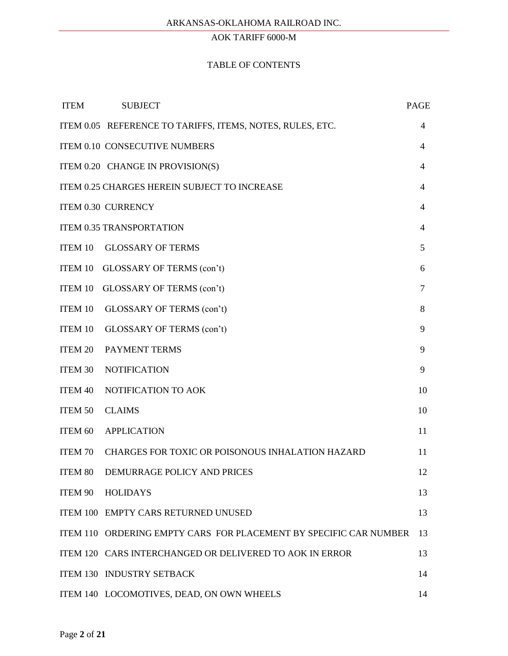## TABLE OF CONTENTS

| <b>ITEM</b>    | <b>SUBJECT</b>                                                    | <b>PAGE</b>    |
|----------------|-------------------------------------------------------------------|----------------|
|                | ITEM 0.05 REFERENCE TO TARIFFS, ITEMS, NOTES, RULES, ETC.         | 4              |
|                | ITEM 0.10 CONSECUTIVE NUMBERS                                     | $\overline{4}$ |
|                | ITEM 0.20 CHANGE IN PROVISION(S)                                  | $\overline{4}$ |
|                | ITEM 0.25 CHARGES HEREIN SUBJECT TO INCREASE                      | $\overline{4}$ |
|                | ITEM 0.30 CURRENCY                                                | $\overline{4}$ |
|                | <b>ITEM 0.35 TRANSPORTATION</b>                                   | 4              |
| <b>ITEM 10</b> | <b>GLOSSARY OF TERMS</b>                                          | 5              |
|                | ITEM 10 GLOSSARY OF TERMS (con't)                                 | 6              |
| ITEM 10        | GLOSSARY OF TERMS (con't)                                         | 7              |
| <b>ITEM 10</b> | GLOSSARY OF TERMS (con't)                                         | 8              |
| <b>ITEM 10</b> | GLOSSARY OF TERMS (con't)                                         | 9              |
| <b>ITEM 20</b> | PAYMENT TERMS                                                     | 9              |
| <b>ITEM 30</b> | <b>NOTIFICATION</b>                                               | 9              |
| <b>ITEM 40</b> | NOTIFICATION TO AOK                                               | 10             |
| <b>ITEM 50</b> | <b>CLAIMS</b>                                                     | 10             |
| ITEM 60        | <b>APPLICATION</b>                                                | 11             |
| <b>ITEM 70</b> | CHARGES FOR TOXIC OR POISONOUS INHALATION HAZARD                  | 11             |
|                | ITEM 80 DEMURRAGE POLICY AND PRICES                               | 12             |
|                | ITEM 90 HOLIDAYS                                                  | 13             |
|                | ITEM 100 EMPTY CARS RETURNED UNUSED                               | 13             |
|                | ITEM 110 ORDERING EMPTY CARS FOR PLACEMENT BY SPECIFIC CAR NUMBER | 13             |
|                | ITEM 120 CARS INTERCHANGED OR DELIVERED TO AOK IN ERROR           | 13             |
|                | ITEM 130 INDUSTRY SETBACK                                         | 14             |
|                | ITEM 140 LOCOMOTIVES, DEAD, ON OWN WHEELS                         | 14             |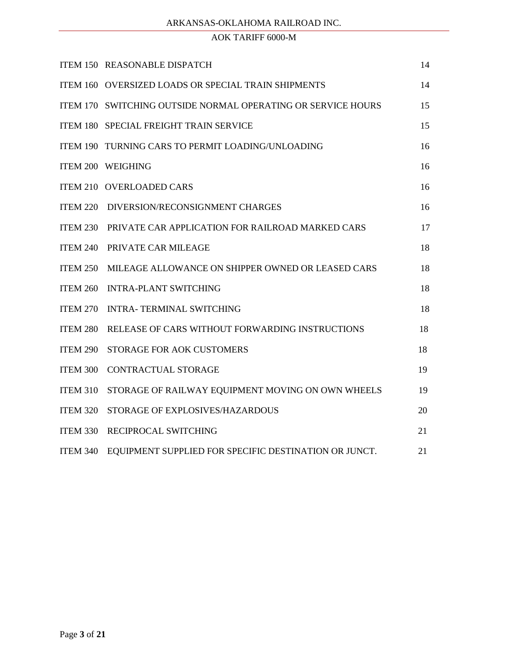## ARKANSAS-OKLAHOMA RAILROAD INC.

# AOK TARIFF 6000-M

|                 | ITEM 150 REASONABLE DISPATCH                                 | 14 |
|-----------------|--------------------------------------------------------------|----|
|                 | ITEM 160 OVERSIZED LOADS OR SPECIAL TRAIN SHIPMENTS          | 14 |
|                 | ITEM 170 SWITCHING OUTSIDE NORMAL OPERATING OR SERVICE HOURS | 15 |
|                 | ITEM 180 SPECIAL FREIGHT TRAIN SERVICE                       | 15 |
|                 | ITEM 190 TURNING CARS TO PERMIT LOADING/UNLOADING            | 16 |
|                 | ITEM 200 WEIGHING                                            | 16 |
|                 | ITEM 210 OVERLOADED CARS                                     | 16 |
|                 | ITEM 220 DIVERSION/RECONSIGNMENT CHARGES                     | 16 |
|                 | ITEM 230 PRIVATE CAR APPLICATION FOR RAILROAD MARKED CARS    | 17 |
|                 | ITEM 240 PRIVATE CAR MILEAGE                                 | 18 |
|                 | ITEM 250 MILEAGE ALLOWANCE ON SHIPPER OWNED OR LEASED CARS   | 18 |
|                 | ITEM 260 INTRA-PLANT SWITCHING                               | 18 |
| <b>ITEM 270</b> | <b>INTRA- TERMINAL SWITCHING</b>                             | 18 |
| ITEM 280        | RELEASE OF CARS WITHOUT FORWARDING INSTRUCTIONS              | 18 |
| ITEM 290        | STORAGE FOR AOK CUSTOMERS                                    | 18 |
| ITEM 300        | <b>CONTRACTUAL STORAGE</b>                                   | 19 |
| <b>ITEM 310</b> | STORAGE OF RAILWAY EQUIPMENT MOVING ON OWN WHEELS            | 19 |
| <b>ITEM 320</b> | STORAGE OF EXPLOSIVES/HAZARDOUS                              | 20 |
| <b>ITEM 330</b> | RECIPROCAL SWITCHING                                         | 21 |
| <b>ITEM 340</b> | EQUIPMENT SUPPLIED FOR SPECIFIC DESTINATION OR JUNCT.        | 21 |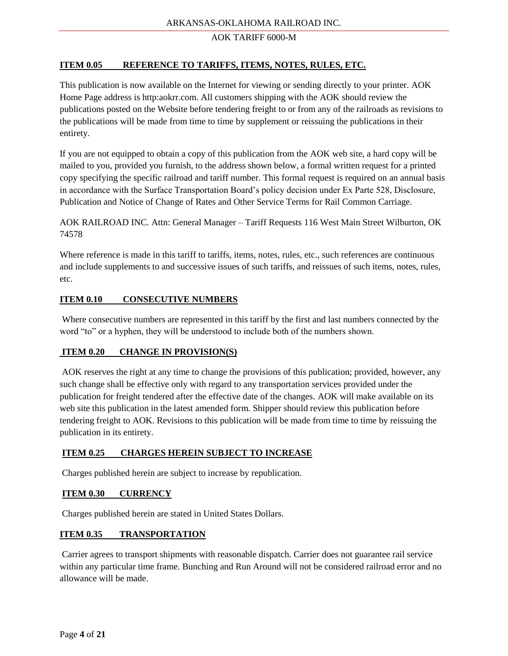## **ITEM 0.05 REFERENCE TO TARIFFS, ITEMS, NOTES, RULES, ETC.**

This publication is now available on the Internet for viewing or sending directly to your printer. AOK Home Page address is http:aokrr.com. All customers shipping with the AOK should review the publications posted on the Website before tendering freight to or from any of the railroads as revisions to the publications will be made from time to time by supplement or reissuing the publications in their entirety.

If you are not equipped to obtain a copy of this publication from the AOK web site, a hard copy will be mailed to you, provided you furnish, to the address shown below, a formal written request for a printed copy specifying the specific railroad and tariff number. This formal request is required on an annual basis in accordance with the Surface Transportation Board's policy decision under Ex Parte 528, Disclosure, Publication and Notice of Change of Rates and Other Service Terms for Rail Common Carriage.

AOK RAILROAD INC. Attn: General Manager – Tariff Requests 116 West Main Street Wilburton, OK 74578

Where reference is made in this tariff to tariffs, items, notes, rules, etc., such references are continuous and include supplements to and successive issues of such tariffs, and reissues of such items, notes, rules, etc.

## **ITEM 0.10 CONSECUTIVE NUMBERS**

Where consecutive numbers are represented in this tariff by the first and last numbers connected by the word "to" or a hyphen, they will be understood to include both of the numbers shown.

#### **ITEM 0.20 CHANGE IN PROVISION(S)**

AOK reserves the right at any time to change the provisions of this publication; provided, however, any such change shall be effective only with regard to any transportation services provided under the publication for freight tendered after the effective date of the changes. AOK will make available on its web site this publication in the latest amended form. Shipper should review this publication before tendering freight to AOK. Revisions to this publication will be made from time to time by reissuing the publication in its entirety.

#### **ITEM 0.25 CHARGES HEREIN SUBJECT TO INCREASE**

Charges published herein are subject to increase by republication.

#### **ITEM 0.30 CURRENCY**

Charges published herein are stated in United States Dollars.

#### **ITEM 0.35 TRANSPORTATION**

Carrier agrees to transport shipments with reasonable dispatch. Carrier does not guarantee rail service within any particular time frame. Bunching and Run Around will not be considered railroad error and no allowance will be made.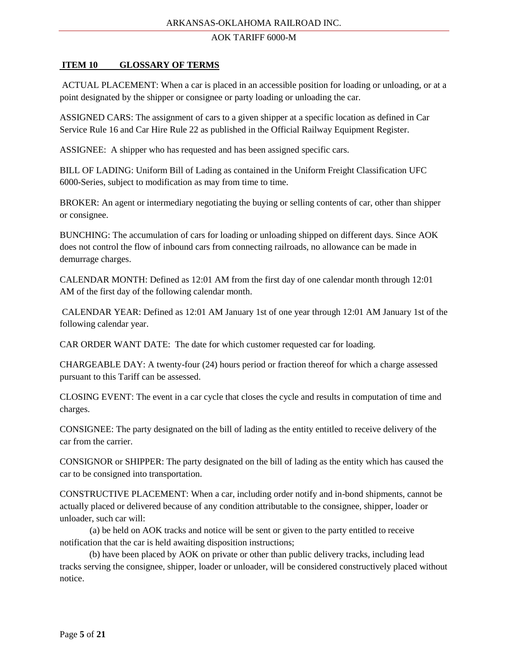## **ITEM 10 GLOSSARY OF TERMS**

ACTUAL PLACEMENT: When a car is placed in an accessible position for loading or unloading, or at a point designated by the shipper or consignee or party loading or unloading the car.

ASSIGNED CARS: The assignment of cars to a given shipper at a specific location as defined in Car Service Rule 16 and Car Hire Rule 22 as published in the Official Railway Equipment Register.

ASSIGNEE: A shipper who has requested and has been assigned specific cars.

BILL OF LADING: Uniform Bill of Lading as contained in the Uniform Freight Classification UFC 6000-Series, subject to modification as may from time to time.

BROKER: An agent or intermediary negotiating the buying or selling contents of car, other than shipper or consignee.

BUNCHING: The accumulation of cars for loading or unloading shipped on different days. Since AOK does not control the flow of inbound cars from connecting railroads, no allowance can be made in demurrage charges.

CALENDAR MONTH: Defined as 12:01 AM from the first day of one calendar month through 12:01 AM of the first day of the following calendar month.

CALENDAR YEAR: Defined as 12:01 AM January 1st of one year through 12:01 AM January 1st of the following calendar year.

CAR ORDER WANT DATE: The date for which customer requested car for loading.

CHARGEABLE DAY: A twenty-four (24) hours period or fraction thereof for which a charge assessed pursuant to this Tariff can be assessed.

CLOSING EVENT: The event in a car cycle that closes the cycle and results in computation of time and charges.

CONSIGNEE: The party designated on the bill of lading as the entity entitled to receive delivery of the car from the carrier.

CONSIGNOR or SHIPPER: The party designated on the bill of lading as the entity which has caused the car to be consigned into transportation.

CONSTRUCTIVE PLACEMENT: When a car, including order notify and in-bond shipments, cannot be actually placed or delivered because of any condition attributable to the consignee, shipper, loader or unloader, such car will:

(a) be held on AOK tracks and notice will be sent or given to the party entitled to receive notification that the car is held awaiting disposition instructions;

 (b) have been placed by AOK on private or other than public delivery tracks, including lead tracks serving the consignee, shipper, loader or unloader, will be considered constructively placed without notice.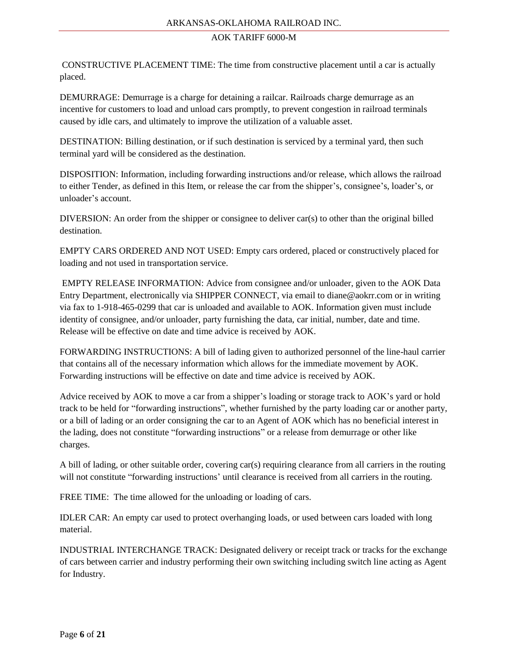#### ARKANSAS-OKLAHOMA RAILROAD INC.

#### AOK TARIFF 6000-M

CONSTRUCTIVE PLACEMENT TIME: The time from constructive placement until a car is actually placed.

DEMURRAGE: Demurrage is a charge for detaining a railcar. Railroads charge demurrage as an incentive for customers to load and unload cars promptly, to prevent congestion in railroad terminals caused by idle cars, and ultimately to improve the utilization of a valuable asset.

DESTINATION: Billing destination, or if such destination is serviced by a terminal yard, then such terminal yard will be considered as the destination.

DISPOSITION: Information, including forwarding instructions and/or release, which allows the railroad to either Tender, as defined in this Item, or release the car from the shipper's, consignee's, loader's, or unloader's account.

DIVERSION: An order from the shipper or consignee to deliver car(s) to other than the original billed destination.

EMPTY CARS ORDERED AND NOT USED: Empty cars ordered, placed or constructively placed for loading and not used in transportation service.

EMPTY RELEASE INFORMATION: Advice from consignee and/or unloader, given to the AOK Data Entry Department, electronically via SHIPPER CONNECT, via email to diane@aokrr.com or in writing via fax to 1-918-465-0299 that car is unloaded and available to AOK. Information given must include identity of consignee, and/or unloader, party furnishing the data, car initial, number, date and time. Release will be effective on date and time advice is received by AOK.

FORWARDING INSTRUCTIONS: A bill of lading given to authorized personnel of the line-haul carrier that contains all of the necessary information which allows for the immediate movement by AOK. Forwarding instructions will be effective on date and time advice is received by AOK.

Advice received by AOK to move a car from a shipper's loading or storage track to AOK's yard or hold track to be held for "forwarding instructions", whether furnished by the party loading car or another party, or a bill of lading or an order consigning the car to an Agent of AOK which has no beneficial interest in the lading, does not constitute "forwarding instructions" or a release from demurrage or other like charges.

A bill of lading, or other suitable order, covering car(s) requiring clearance from all carriers in the routing will not constitute "forwarding instructions' until clearance is received from all carriers in the routing.

FREE TIME: The time allowed for the unloading or loading of cars.

IDLER CAR: An empty car used to protect overhanging loads, or used between cars loaded with long material.

INDUSTRIAL INTERCHANGE TRACK: Designated delivery or receipt track or tracks for the exchange of cars between carrier and industry performing their own switching including switch line acting as Agent for Industry.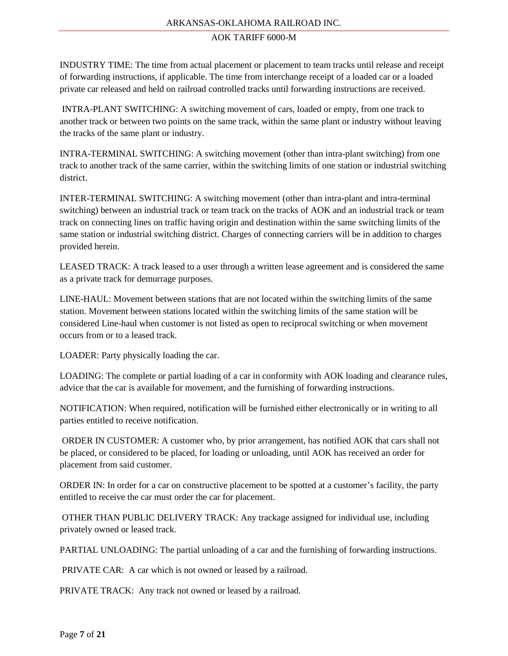#### ARKANSAS-OKLAHOMA RAILROAD INC.

#### AOK TARIFF 6000-M

INDUSTRY TIME: The time from actual placement or placement to team tracks until release and receipt of forwarding instructions, if applicable. The time from interchange receipt of a loaded car or a loaded private car released and held on railroad controlled tracks until forwarding instructions are received.

INTRA-PLANT SWITCHING: A switching movement of cars, loaded or empty, from one track to another track or between two points on the same track, within the same plant or industry without leaving the tracks of the same plant or industry.

INTRA-TERMINAL SWITCHING: A switching movement (other than intra-plant switching) from one track to another track of the same carrier, within the switching limits of one station or industrial switching district.

INTER-TERMINAL SWITCHING: A switching movement (other than intra-plant and intra-terminal switching) between an industrial track or team track on the tracks of AOK and an industrial track or team track on connecting lines on traffic having origin and destination within the same switching limits of the same station or industrial switching district. Charges of connecting carriers will be in addition to charges provided herein.

LEASED TRACK: A track leased to a user through a written lease agreement and is considered the same as a private track for demurrage purposes.

LINE-HAUL: Movement between stations that are not located within the switching limits of the same station. Movement between stations located within the switching limits of the same station will be considered Line-haul when customer is not listed as open to reciprocal switching or when movement occurs from or to a leased track.

LOADER: Party physically loading the car.

LOADING: The complete or partial loading of a car in conformity with AOK loading and clearance rules, advice that the car is available for movement, and the furnishing of forwarding instructions.

NOTIFICATION: When required, notification will be furnished either electronically or in writing to all parties entitled to receive notification.

ORDER IN CUSTOMER: A customer who, by prior arrangement, has notified AOK that cars shall not be placed, or considered to be placed, for loading or unloading, until AOK has received an order for placement from said customer.

ORDER IN: In order for a car on constructive placement to be spotted at a customer's facility, the party entitled to receive the car must order the car for placement.

OTHER THAN PUBLIC DELIVERY TRACK: Any trackage assigned for individual use, including privately owned or leased track.

PARTIAL UNLOADING: The partial unloading of a car and the furnishing of forwarding instructions.

PRIVATE CAR: A car which is not owned or leased by a railroad.

PRIVATE TRACK: Any track not owned or leased by a railroad.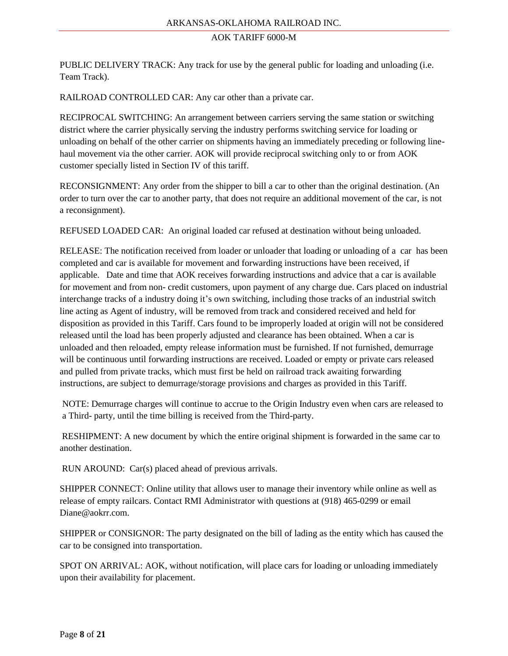PUBLIC DELIVERY TRACK: Any track for use by the general public for loading and unloading (i.e. Team Track).

RAILROAD CONTROLLED CAR: Any car other than a private car.

RECIPROCAL SWITCHING: An arrangement between carriers serving the same station or switching district where the carrier physically serving the industry performs switching service for loading or unloading on behalf of the other carrier on shipments having an immediately preceding or following linehaul movement via the other carrier. AOK will provide reciprocal switching only to or from AOK customer specially listed in Section IV of this tariff.

RECONSIGNMENT: Any order from the shipper to bill a car to other than the original destination. (An order to turn over the car to another party, that does not require an additional movement of the car, is not a reconsignment).

REFUSED LOADED CAR: An original loaded car refused at destination without being unloaded.

RELEASE: The notification received from loader or unloader that loading or unloading of a car has been completed and car is available for movement and forwarding instructions have been received, if applicable. Date and time that AOK receives forwarding instructions and advice that a car is available for movement and from non- credit customers, upon payment of any charge due. Cars placed on industrial interchange tracks of a industry doing it's own switching, including those tracks of an industrial switch line acting as Agent of industry, will be removed from track and considered received and held for disposition as provided in this Tariff. Cars found to be improperly loaded at origin will not be considered released until the load has been properly adjusted and clearance has been obtained. When a car is unloaded and then reloaded, empty release information must be furnished. If not furnished, demurrage will be continuous until forwarding instructions are received. Loaded or empty or private cars released and pulled from private tracks, which must first be held on railroad track awaiting forwarding instructions, are subject to demurrage/storage provisions and charges as provided in this Tariff.

NOTE: Demurrage charges will continue to accrue to the Origin Industry even when cars are released to a Third- party, until the time billing is received from the Third-party.

RESHIPMENT: A new document by which the entire original shipment is forwarded in the same car to another destination.

RUN AROUND: Car(s) placed ahead of previous arrivals.

SHIPPER CONNECT: Online utility that allows user to manage their inventory while online as well as release of empty railcars. Contact RMI Administrator with questions at (918) 465-0299 or email Diane@aokrr.com.

SHIPPER or CONSIGNOR: The party designated on the bill of lading as the entity which has caused the car to be consigned into transportation.

SPOT ON ARRIVAL: AOK, without notification, will place cars for loading or unloading immediately upon their availability for placement.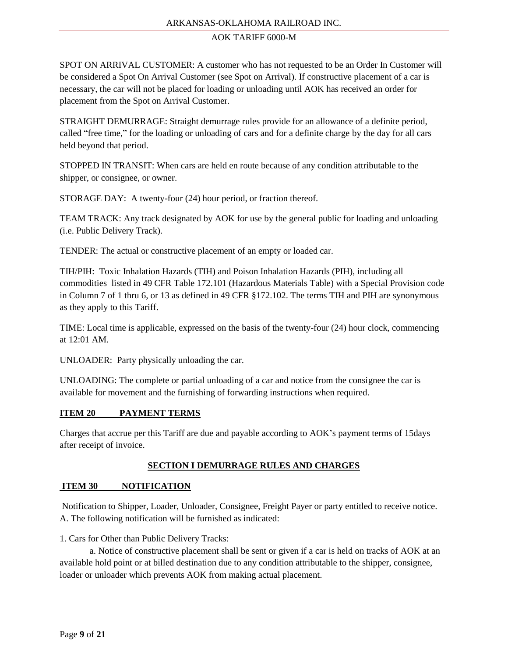## ARKANSAS-OKLAHOMA RAILROAD INC.

#### AOK TARIFF 6000-M

SPOT ON ARRIVAL CUSTOMER: A customer who has not requested to be an Order In Customer will be considered a Spot On Arrival Customer (see Spot on Arrival). If constructive placement of a car is necessary, the car will not be placed for loading or unloading until AOK has received an order for placement from the Spot on Arrival Customer.

STRAIGHT DEMURRAGE: Straight demurrage rules provide for an allowance of a definite period, called "free time," for the loading or unloading of cars and for a definite charge by the day for all cars held beyond that period.

STOPPED IN TRANSIT: When cars are held en route because of any condition attributable to the shipper, or consignee, or owner.

STORAGE DAY: A twenty-four (24) hour period, or fraction thereof.

TEAM TRACK: Any track designated by AOK for use by the general public for loading and unloading (i.e. Public Delivery Track).

TENDER: The actual or constructive placement of an empty or loaded car.

TIH/PIH: Toxic Inhalation Hazards (TIH) and Poison Inhalation Hazards (PIH), including all commodities listed in 49 CFR Table 172.101 (Hazardous Materials Table) with a Special Provision code in Column 7 of 1 thru 6, or 13 as defined in 49 CFR §172.102. The terms TIH and PIH are synonymous as they apply to this Tariff.

TIME: Local time is applicable, expressed on the basis of the twenty-four (24) hour clock, commencing at 12:01 AM.

UNLOADER: Party physically unloading the car.

UNLOADING: The complete or partial unloading of a car and notice from the consignee the car is available for movement and the furnishing of forwarding instructions when required.

#### **ITEM 20 PAYMENT TERMS**

Charges that accrue per this Tariff are due and payable according to AOK's payment terms of 15days after receipt of invoice.

## **SECTION I DEMURRAGE RULES AND CHARGES**

## **ITEM 30 NOTIFICATION**

Notification to Shipper, Loader, Unloader, Consignee, Freight Payer or party entitled to receive notice. A. The following notification will be furnished as indicated:

1. Cars for Other than Public Delivery Tracks:

a. Notice of constructive placement shall be sent or given if a car is held on tracks of AOK at an available hold point or at billed destination due to any condition attributable to the shipper, consignee, loader or unloader which prevents AOK from making actual placement.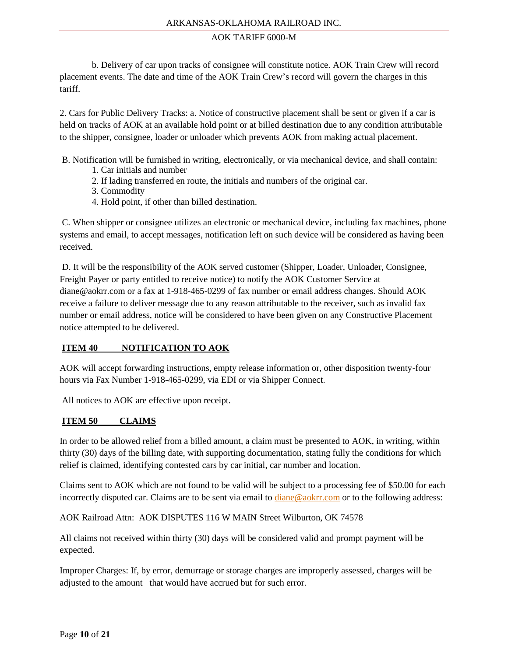b. Delivery of car upon tracks of consignee will constitute notice. AOK Train Crew will record placement events. The date and time of the AOK Train Crew's record will govern the charges in this tariff.

2. Cars for Public Delivery Tracks: a. Notice of constructive placement shall be sent or given if a car is held on tracks of AOK at an available hold point or at billed destination due to any condition attributable to the shipper, consignee, loader or unloader which prevents AOK from making actual placement.

B. Notification will be furnished in writing, electronically, or via mechanical device, and shall contain:

- 1. Car initials and number
- 2. If lading transferred en route, the initials and numbers of the original car.
- 3. Commodity
- 4. Hold point, if other than billed destination.

C. When shipper or consignee utilizes an electronic or mechanical device, including fax machines, phone systems and email, to accept messages, notification left on such device will be considered as having been received.

D. It will be the responsibility of the AOK served customer (Shipper, Loader, Unloader, Consignee, Freight Payer or party entitled to receive notice) to notify the AOK Customer Service at diane@aokrr.com or a fax at 1-918-465-0299 of fax number or email address changes. Should AOK receive a failure to deliver message due to any reason attributable to the receiver, such as invalid fax number or email address, notice will be considered to have been given on any Constructive Placement notice attempted to be delivered.

## **ITEM 40 NOTIFICATION TO AOK**

AOK will accept forwarding instructions, empty release information or, other disposition twenty-four hours via Fax Number 1-918-465-0299, via EDI or via Shipper Connect.

All notices to AOK are effective upon receipt.

#### **ITEM 50 CLAIMS**

In order to be allowed relief from a billed amount, a claim must be presented to AOK, in writing, within thirty (30) days of the billing date, with supporting documentation, stating fully the conditions for which relief is claimed, identifying contested cars by car initial, car number and location.

Claims sent to AOK which are not found to be valid will be subject to a processing fee of \$50.00 for each incorrectly disputed car. Claims are to be sent via email to [diane@aokrr.com](mailto:diane@aokrr.com) or to the following address:

AOK Railroad Attn: AOK DISPUTES 116 W MAIN Street Wilburton, OK 74578

All claims not received within thirty (30) days will be considered valid and prompt payment will be expected.

Improper Charges: If, by error, demurrage or storage charges are improperly assessed, charges will be adjusted to the amount that would have accrued but for such error.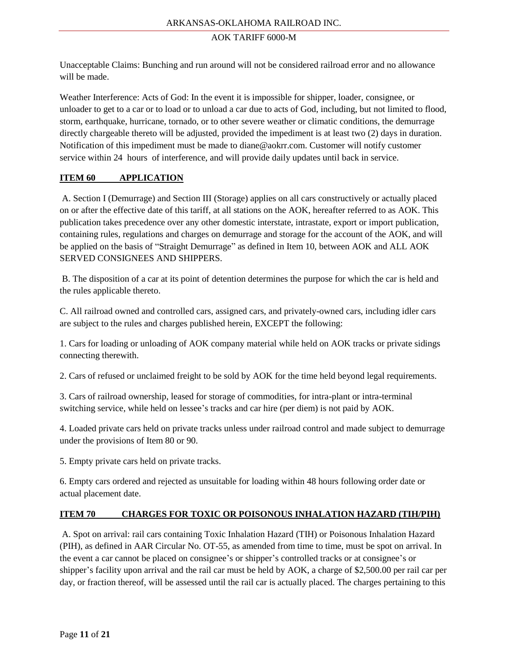Unacceptable Claims: Bunching and run around will not be considered railroad error and no allowance will be made.

Weather Interference: Acts of God: In the event it is impossible for shipper, loader, consignee, or unloader to get to a car or to load or to unload a car due to acts of God, including, but not limited to flood, storm, earthquake, hurricane, tornado, or to other severe weather or climatic conditions, the demurrage directly chargeable thereto will be adjusted, provided the impediment is at least two (2) days in duration. Notification of this impediment must be made to diane@aokrr.com. Customer will notify customer service within 24 hours of interference, and will provide daily updates until back in service.

## **ITEM 60 APPLICATION**

A. Section I (Demurrage) and Section III (Storage) applies on all cars constructively or actually placed on or after the effective date of this tariff, at all stations on the AOK, hereafter referred to as AOK. This publication takes precedence over any other domestic interstate, intrastate, export or import publication, containing rules, regulations and charges on demurrage and storage for the account of the AOK, and will be applied on the basis of "Straight Demurrage" as defined in Item 10, between AOK and ALL AOK SERVED CONSIGNEES AND SHIPPERS.

B. The disposition of a car at its point of detention determines the purpose for which the car is held and the rules applicable thereto.

C. All railroad owned and controlled cars, assigned cars, and privately-owned cars, including idler cars are subject to the rules and charges published herein, EXCEPT the following:

1. Cars for loading or unloading of AOK company material while held on AOK tracks or private sidings connecting therewith.

2. Cars of refused or unclaimed freight to be sold by AOK for the time held beyond legal requirements.

3. Cars of railroad ownership, leased for storage of commodities, for intra-plant or intra-terminal switching service, while held on lessee's tracks and car hire (per diem) is not paid by AOK.

4. Loaded private cars held on private tracks unless under railroad control and made subject to demurrage under the provisions of Item 80 or 90.

5. Empty private cars held on private tracks.

6. Empty cars ordered and rejected as unsuitable for loading within 48 hours following order date or actual placement date.

#### **ITEM 70 CHARGES FOR TOXIC OR POISONOUS INHALATION HAZARD (TIH/PIH)**

A. Spot on arrival: rail cars containing Toxic Inhalation Hazard (TIH) or Poisonous Inhalation Hazard (PIH), as defined in AAR Circular No. OT-55, as amended from time to time, must be spot on arrival. In the event a car cannot be placed on consignee's or shipper's controlled tracks or at consignee's or shipper's facility upon arrival and the rail car must be held by AOK, a charge of \$2,500.00 per rail car per day, or fraction thereof, will be assessed until the rail car is actually placed. The charges pertaining to this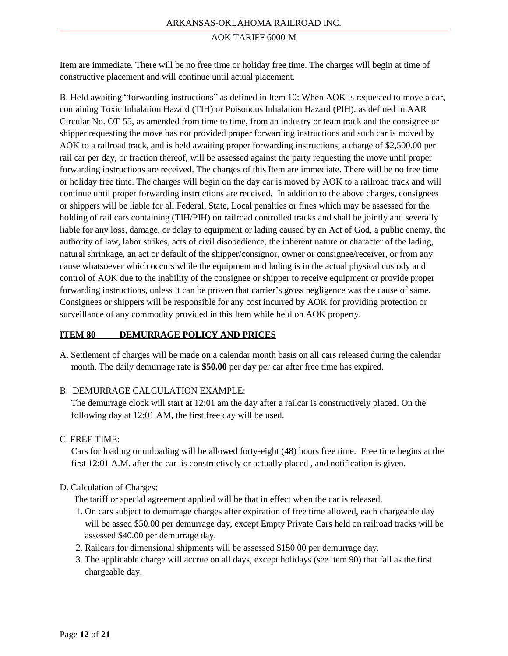Item are immediate. There will be no free time or holiday free time. The charges will begin at time of constructive placement and will continue until actual placement.

B. Held awaiting "forwarding instructions" as defined in Item 10: When AOK is requested to move a car, containing Toxic Inhalation Hazard (TIH) or Poisonous Inhalation Hazard (PIH), as defined in AAR Circular No. OT-55, as amended from time to time, from an industry or team track and the consignee or shipper requesting the move has not provided proper forwarding instructions and such car is moved by AOK to a railroad track, and is held awaiting proper forwarding instructions, a charge of \$2,500.00 per rail car per day, or fraction thereof, will be assessed against the party requesting the move until proper forwarding instructions are received. The charges of this Item are immediate. There will be no free time or holiday free time. The charges will begin on the day car is moved by AOK to a railroad track and will continue until proper forwarding instructions are received. In addition to the above charges, consignees or shippers will be liable for all Federal, State, Local penalties or fines which may be assessed for the holding of rail cars containing (TIH/PIH) on railroad controlled tracks and shall be jointly and severally liable for any loss, damage, or delay to equipment or lading caused by an Act of God, a public enemy, the authority of law, labor strikes, acts of civil disobedience, the inherent nature or character of the lading, natural shrinkage, an act or default of the shipper/consignor, owner or consignee/receiver, or from any cause whatsoever which occurs while the equipment and lading is in the actual physical custody and control of AOK due to the inability of the consignee or shipper to receive equipment or provide proper forwarding instructions, unless it can be proven that carrier's gross negligence was the cause of same. Consignees or shippers will be responsible for any cost incurred by AOK for providing protection or surveillance of any commodity provided in this Item while held on AOK property.

#### **ITEM 80 DEMURRAGE POLICY AND PRICES**

A. Settlement of charges will be made on a calendar month basis on all cars released during the calendar month. The daily demurrage rate is **\$50.00** per day per car after free time has expired.

#### B. DEMURRAGE CALCULATION EXAMPLE:

 The demurrage clock will start at 12:01 am the day after a railcar is constructively placed. On the following day at 12:01 AM, the first free day will be used.

#### C. FREE TIME:

 Cars for loading or unloading will be allowed forty-eight (48) hours free time. Free time begins at the first 12:01 A.M. after the car is constructively or actually placed , and notification is given.

#### D. Calculation of Charges:

The tariff or special agreement applied will be that in effect when the car is released.

- 1. On cars subject to demurrage charges after expiration of free time allowed, each chargeable day will be assed \$50.00 per demurrage day, except Empty Private Cars held on railroad tracks will be assessed \$40.00 per demurrage day.
- 2. Railcars for dimensional shipments will be assessed \$150.00 per demurrage day.
- 3. The applicable charge will accrue on all days, except holidays (see item 90) that fall as the first chargeable day.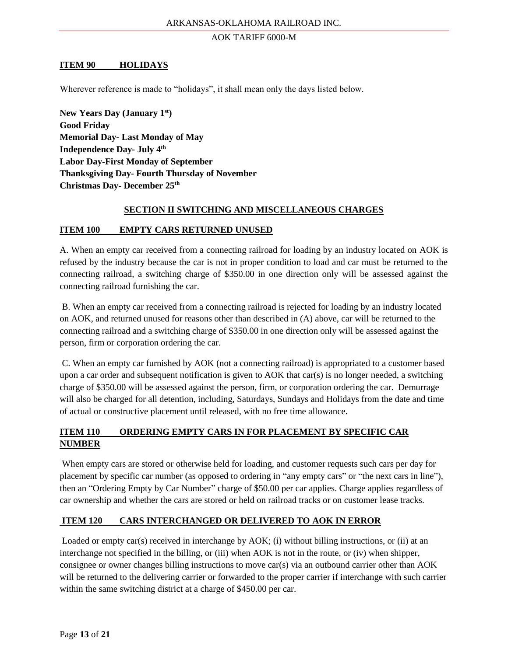#### **ITEM 90 HOLIDAYS**

Wherever reference is made to "holidays", it shall mean only the days listed below.

**New Years Day (January 1st) Good Friday Memorial Day- Last Monday of May Independence Day- July 4th Labor Day-First Monday of September Thanksgiving Day- Fourth Thursday of November Christmas Day- December 25th**

#### **SECTION II SWITCHING AND MISCELLANEOUS CHARGES**

#### **ITEM 100 EMPTY CARS RETURNED UNUSED**

A. When an empty car received from a connecting railroad for loading by an industry located on AOK is refused by the industry because the car is not in proper condition to load and car must be returned to the connecting railroad, a switching charge of \$350.00 in one direction only will be assessed against the connecting railroad furnishing the car.

B. When an empty car received from a connecting railroad is rejected for loading by an industry located on AOK, and returned unused for reasons other than described in (A) above, car will be returned to the connecting railroad and a switching charge of \$350.00 in one direction only will be assessed against the person, firm or corporation ordering the car.

C. When an empty car furnished by AOK (not a connecting railroad) is appropriated to a customer based upon a car order and subsequent notification is given to AOK that car(s) is no longer needed, a switching charge of \$350.00 will be assessed against the person, firm, or corporation ordering the car. Demurrage will also be charged for all detention, including, Saturdays, Sundays and Holidays from the date and time of actual or constructive placement until released, with no free time allowance.

# **ITEM 110 ORDERING EMPTY CARS IN FOR PLACEMENT BY SPECIFIC CAR NUMBER**

When empty cars are stored or otherwise held for loading, and customer requests such cars per day for placement by specific car number (as opposed to ordering in "any empty cars" or "the next cars in line"), then an "Ordering Empty by Car Number" charge of \$50.00 per car applies. Charge applies regardless of car ownership and whether the cars are stored or held on railroad tracks or on customer lease tracks.

#### **ITEM 120 CARS INTERCHANGED OR DELIVERED TO AOK IN ERROR**

Loaded or empty car(s) received in interchange by AOK; (i) without billing instructions, or (ii) at an interchange not specified in the billing, or (iii) when AOK is not in the route, or (iv) when shipper, consignee or owner changes billing instructions to move car(s) via an outbound carrier other than AOK will be returned to the delivering carrier or forwarded to the proper carrier if interchange with such carrier within the same switching district at a charge of \$450.00 per car.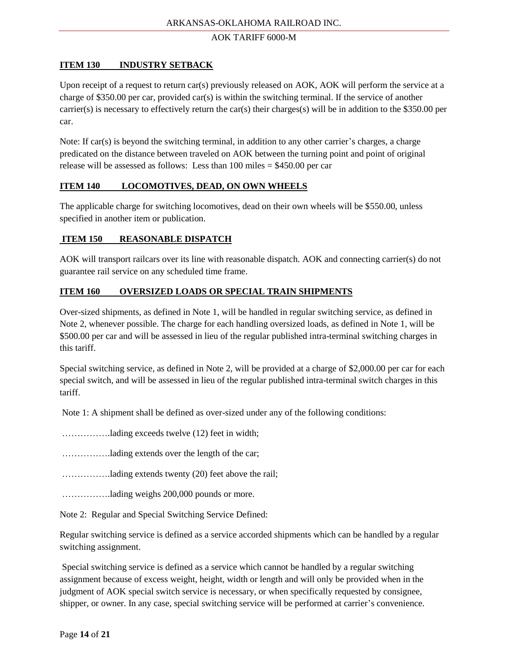## **ITEM 130 INDUSTRY SETBACK**

Upon receipt of a request to return car(s) previously released on AOK, AOK will perform the service at a charge of \$350.00 per car, provided car(s) is within the switching terminal. If the service of another carrier(s) is necessary to effectively return the car(s) their charges(s) will be in addition to the \$350.00 per car.

Note: If car(s) is beyond the switching terminal, in addition to any other carrier's charges, a charge predicated on the distance between traveled on AOK between the turning point and point of original release will be assessed as follows: Less than 100 miles = \$450.00 per car

## **ITEM 140 LOCOMOTIVES, DEAD, ON OWN WHEELS**

The applicable charge for switching locomotives, dead on their own wheels will be \$550.00, unless specified in another item or publication.

# **ITEM 150 REASONABLE DISPATCH**

AOK will transport railcars over its line with reasonable dispatch. AOK and connecting carrier(s) do not guarantee rail service on any scheduled time frame.

# **ITEM 160 OVERSIZED LOADS OR SPECIAL TRAIN SHIPMENTS**

Over-sized shipments, as defined in Note 1, will be handled in regular switching service, as defined in Note 2, whenever possible. The charge for each handling oversized loads, as defined in Note 1, will be \$500.00 per car and will be assessed in lieu of the regular published intra-terminal switching charges in this tariff.

Special switching service, as defined in Note 2, will be provided at a charge of \$2,000.00 per car for each special switch, and will be assessed in lieu of the regular published intra-terminal switch charges in this tariff.

Note 1: A shipment shall be defined as over-sized under any of the following conditions:

- …………….lading exceeds twelve (12) feet in width;
- …………….lading extends over the length of the car;
- …………….lading extends twenty (20) feet above the rail;

…………….lading weighs 200,000 pounds or more.

Note 2: Regular and Special Switching Service Defined:

Regular switching service is defined as a service accorded shipments which can be handled by a regular switching assignment.

Special switching service is defined as a service which cannot be handled by a regular switching assignment because of excess weight, height, width or length and will only be provided when in the judgment of AOK special switch service is necessary, or when specifically requested by consignee, shipper, or owner. In any case, special switching service will be performed at carrier's convenience.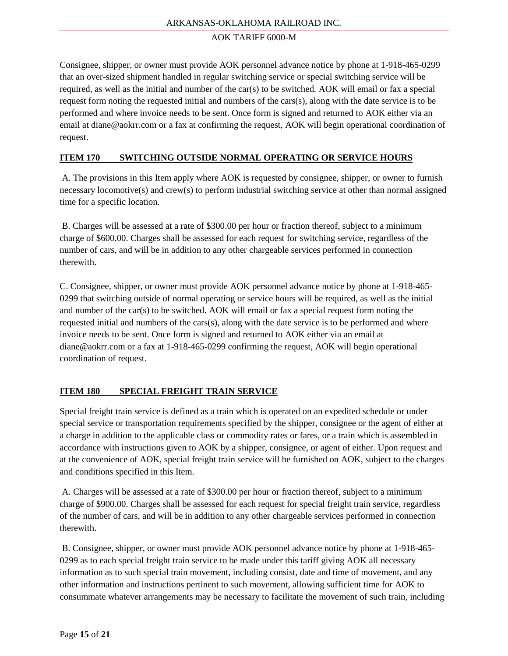Consignee, shipper, or owner must provide AOK personnel advance notice by phone at 1-918-465-0299 that an over-sized shipment handled in regular switching service or special switching service will be required, as well as the initial and number of the car(s) to be switched. AOK will email or fax a special request form noting the requested initial and numbers of the cars(s), along with the date service is to be performed and where invoice needs to be sent. Once form is signed and returned to AOK either via an email at diane@aokrr.com or a fax at confirming the request, AOK will begin operational coordination of request.

## **ITEM 170 SWITCHING OUTSIDE NORMAL OPERATING OR SERVICE HOURS**

A. The provisions in this Item apply where AOK is requested by consignee, shipper, or owner to furnish necessary locomotive(s) and crew(s) to perform industrial switching service at other than normal assigned time for a specific location.

B. Charges will be assessed at a rate of \$300.00 per hour or fraction thereof, subject to a minimum charge of \$600.00. Charges shall be assessed for each request for switching service, regardless of the number of cars, and will be in addition to any other chargeable services performed in connection therewith.

C. Consignee, shipper, or owner must provide AOK personnel advance notice by phone at 1-918-465- 0299 that switching outside of normal operating or service hours will be required, as well as the initial and number of the car(s) to be switched. AOK will email or fax a special request form noting the requested initial and numbers of the cars(s), along with the date service is to be performed and where invoice needs to be sent. Once form is signed and returned to AOK either via an email at diane@aokrr.com or a fax at 1-918-465-0299 confirming the request, AOK will begin operational coordination of request.

## **ITEM 180 SPECIAL FREIGHT TRAIN SERVICE**

Special freight train service is defined as a train which is operated on an expedited schedule or under special service or transportation requirements specified by the shipper, consignee or the agent of either at a charge in addition to the applicable class or commodity rates or fares, or a train which is assembled in accordance with instructions given to AOK by a shipper, consignee, or agent of either. Upon request and at the convenience of AOK, special freight train service will be furnished on AOK, subject to the charges and conditions specified in this Item.

A. Charges will be assessed at a rate of \$300.00 per hour or fraction thereof, subject to a minimum charge of \$900.00. Charges shall be assessed for each request for special freight train service, regardless of the number of cars, and will be in addition to any other chargeable services performed in connection therewith.

B. Consignee, shipper, or owner must provide AOK personnel advance notice by phone at 1-918-465- 0299 as to each special freight train service to be made under this tariff giving AOK all necessary information as to such special train movement, including consist, date and time of movement, and any other information and instructions pertinent to such movement, allowing sufficient time for AOK to consummate whatever arrangements may be necessary to facilitate the movement of such train, including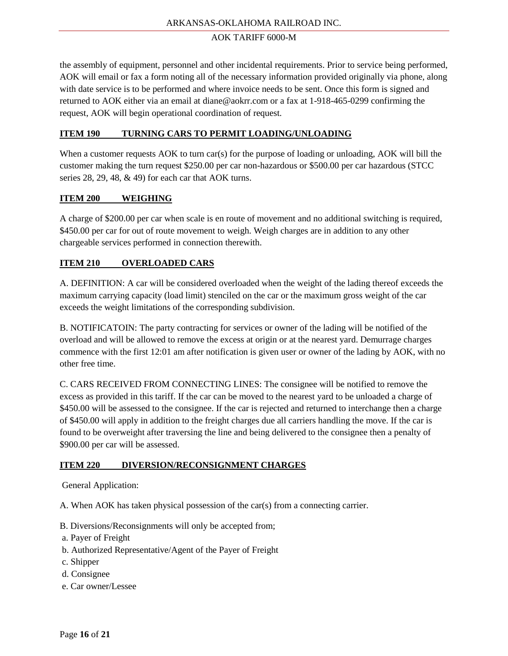the assembly of equipment, personnel and other incidental requirements. Prior to service being performed, AOK will email or fax a form noting all of the necessary information provided originally via phone, along with date service is to be performed and where invoice needs to be sent. Once this form is signed and returned to AOK either via an email at diane@aokrr.com or a fax at 1-918-465-0299 confirming the request, AOK will begin operational coordination of request.

## **ITEM 190 TURNING CARS TO PERMIT LOADING/UNLOADING**

When a customer requests AOK to turn car(s) for the purpose of loading or unloading, AOK will bill the customer making the turn request \$250.00 per car non-hazardous or \$500.00 per car hazardous (STCC series 28, 29, 48, & 49) for each car that AOK turns.

## **ITEM 200 WEIGHING**

A charge of \$200.00 per car when scale is en route of movement and no additional switching is required, \$450.00 per car for out of route movement to weigh. Weigh charges are in addition to any other chargeable services performed in connection therewith.

## **ITEM 210 OVERLOADED CARS**

A. DEFINITION: A car will be considered overloaded when the weight of the lading thereof exceeds the maximum carrying capacity (load limit) stenciled on the car or the maximum gross weight of the car exceeds the weight limitations of the corresponding subdivision.

B. NOTIFICATOIN: The party contracting for services or owner of the lading will be notified of the overload and will be allowed to remove the excess at origin or at the nearest yard. Demurrage charges commence with the first 12:01 am after notification is given user or owner of the lading by AOK, with no other free time.

C. CARS RECEIVED FROM CONNECTING LINES: The consignee will be notified to remove the excess as provided in this tariff. If the car can be moved to the nearest yard to be unloaded a charge of \$450.00 will be assessed to the consignee. If the car is rejected and returned to interchange then a charge of \$450.00 will apply in addition to the freight charges due all carriers handling the move. If the car is found to be overweight after traversing the line and being delivered to the consignee then a penalty of \$900.00 per car will be assessed.

#### **ITEM 220 DIVERSION/RECONSIGNMENT CHARGES**

General Application:

A. When AOK has taken physical possession of the car(s) from a connecting carrier.

- B. Diversions/Reconsignments will only be accepted from;
- a. Payer of Freight
- b. Authorized Representative/Agent of the Payer of Freight
- c. Shipper
- d. Consignee
- e. Car owner/Lessee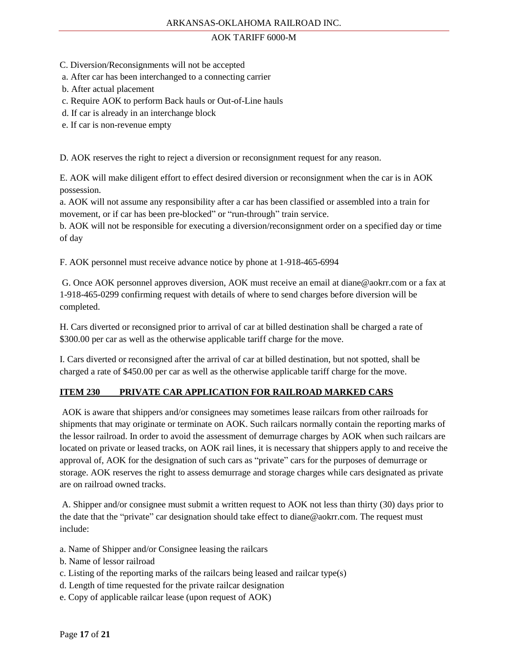- C. Diversion/Reconsignments will not be accepted
- a. After car has been interchanged to a connecting carrier
- b. After actual placement
- c. Require AOK to perform Back hauls or Out-of-Line hauls
- d. If car is already in an interchange block
- e. If car is non-revenue empty

D. AOK reserves the right to reject a diversion or reconsignment request for any reason.

E. AOK will make diligent effort to effect desired diversion or reconsignment when the car is in AOK possession.

a. AOK will not assume any responsibility after a car has been classified or assembled into a train for movement, or if car has been pre-blocked" or "run-through" train service.

b. AOK will not be responsible for executing a diversion/reconsignment order on a specified day or time of day

F. AOK personnel must receive advance notice by phone at 1-918-465-6994

G. Once AOK personnel approves diversion, AOK must receive an email at diane@aokrr.com or a fax at 1-918-465-0299 confirming request with details of where to send charges before diversion will be completed.

H. Cars diverted or reconsigned prior to arrival of car at billed destination shall be charged a rate of \$300.00 per car as well as the otherwise applicable tariff charge for the move.

I. Cars diverted or reconsigned after the arrival of car at billed destination, but not spotted, shall be charged a rate of \$450.00 per car as well as the otherwise applicable tariff charge for the move.

## **ITEM 230 PRIVATE CAR APPLICATION FOR RAILROAD MARKED CARS**

AOK is aware that shippers and/or consignees may sometimes lease railcars from other railroads for shipments that may originate or terminate on AOK. Such railcars normally contain the reporting marks of the lessor railroad. In order to avoid the assessment of demurrage charges by AOK when such railcars are located on private or leased tracks, on AOK rail lines, it is necessary that shippers apply to and receive the approval of, AOK for the designation of such cars as "private" cars for the purposes of demurrage or storage. AOK reserves the right to assess demurrage and storage charges while cars designated as private are on railroad owned tracks.

A. Shipper and/or consignee must submit a written request to AOK not less than thirty (30) days prior to the date that the "private" car designation should take effect to diane@aokrr.com. The request must include:

a. Name of Shipper and/or Consignee leasing the railcars

- b. Name of lessor railroad
- c. Listing of the reporting marks of the railcars being leased and railcar type(s)
- d. Length of time requested for the private railcar designation
- e. Copy of applicable railcar lease (upon request of AOK)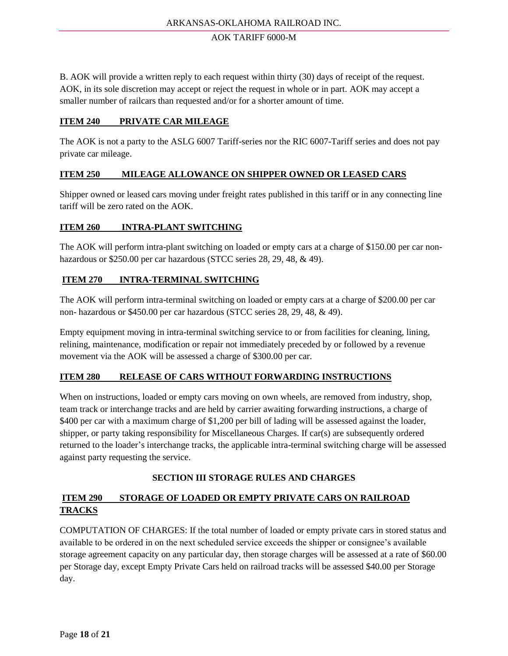B. AOK will provide a written reply to each request within thirty (30) days of receipt of the request. AOK, in its sole discretion may accept or reject the request in whole or in part. AOK may accept a smaller number of railcars than requested and/or for a shorter amount of time.

#### **ITEM 240 PRIVATE CAR MILEAGE**

The AOK is not a party to the ASLG 6007 Tariff-series nor the RIC 6007-Tariff series and does not pay private car mileage.

## **ITEM 250 MILEAGE ALLOWANCE ON SHIPPER OWNED OR LEASED CARS**

Shipper owned or leased cars moving under freight rates published in this tariff or in any connecting line tariff will be zero rated on the AOK.

## **ITEM 260 INTRA-PLANT SWITCHING**

The AOK will perform intra-plant switching on loaded or empty cars at a charge of \$150.00 per car nonhazardous or \$250.00 per car hazardous (STCC series 28, 29, 48, & 49).

## **ITEM 270 INTRA-TERMINAL SWITCHING**

The AOK will perform intra-terminal switching on loaded or empty cars at a charge of \$200.00 per car non- hazardous or \$450.00 per car hazardous (STCC series 28, 29, 48, & 49).

Empty equipment moving in intra-terminal switching service to or from facilities for cleaning, lining, relining, maintenance, modification or repair not immediately preceded by or followed by a revenue movement via the AOK will be assessed a charge of \$300.00 per car.

#### **ITEM 280 RELEASE OF CARS WITHOUT FORWARDING INSTRUCTIONS**

When on instructions, loaded or empty cars moving on own wheels, are removed from industry, shop, team track or interchange tracks and are held by carrier awaiting forwarding instructions, a charge of \$400 per car with a maximum charge of \$1,200 per bill of lading will be assessed against the loader, shipper, or party taking responsibility for Miscellaneous Charges. If car(s) are subsequently ordered returned to the loader's interchange tracks, the applicable intra-terminal switching charge will be assessed against party requesting the service.

## **SECTION III STORAGE RULES AND CHARGES**

# **ITEM 290 STORAGE OF LOADED OR EMPTY PRIVATE CARS ON RAILROAD TRACKS**

COMPUTATION OF CHARGES: If the total number of loaded or empty private cars in stored status and available to be ordered in on the next scheduled service exceeds the shipper or consignee's available storage agreement capacity on any particular day, then storage charges will be assessed at a rate of \$60.00 per Storage day, except Empty Private Cars held on railroad tracks will be assessed \$40.00 per Storage day.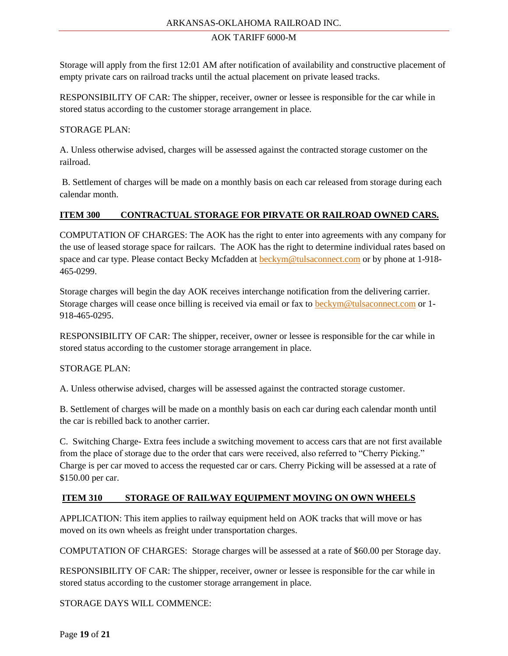Storage will apply from the first 12:01 AM after notification of availability and constructive placement of empty private cars on railroad tracks until the actual placement on private leased tracks.

RESPONSIBILITY OF CAR: The shipper, receiver, owner or lessee is responsible for the car while in stored status according to the customer storage arrangement in place.

## STORAGE PLAN:

A. Unless otherwise advised, charges will be assessed against the contracted storage customer on the railroad.

B. Settlement of charges will be made on a monthly basis on each car released from storage during each calendar month.

## **ITEM 300 CONTRACTUAL STORAGE FOR PIRVATE OR RAILROAD OWNED CARS.**

COMPUTATION OF CHARGES: The AOK has the right to enter into agreements with any company for the use of leased storage space for railcars. The AOK has the right to determine individual rates based on space and car type. Please contact Becky Mcfadden at [beckym@tulsaconnect.com](mailto:beckym@tulsaconnect.com) or by phone at 1-918-465-0299.

Storage charges will begin the day AOK receives interchange notification from the delivering carrier. Storage charges will cease once billing is received via email or fax to [beckym@tulsaconnect.com](mailto:beckym@tulsaconnect.com) or 1- 918-465-0295.

RESPONSIBILITY OF CAR: The shipper, receiver, owner or lessee is responsible for the car while in stored status according to the customer storage arrangement in place.

#### STORAGE PLAN:

A. Unless otherwise advised, charges will be assessed against the contracted storage customer.

B. Settlement of charges will be made on a monthly basis on each car during each calendar month until the car is rebilled back to another carrier.

C. Switching Charge- Extra fees include a switching movement to access cars that are not first available from the place of storage due to the order that cars were received, also referred to "Cherry Picking." Charge is per car moved to access the requested car or cars. Cherry Picking will be assessed at a rate of \$150.00 per car.

## **ITEM 310 STORAGE OF RAILWAY EQUIPMENT MOVING ON OWN WHEELS**

APPLICATION: This item applies to railway equipment held on AOK tracks that will move or has moved on its own wheels as freight under transportation charges.

COMPUTATION OF CHARGES: Storage charges will be assessed at a rate of \$60.00 per Storage day.

RESPONSIBILITY OF CAR: The shipper, receiver, owner or lessee is responsible for the car while in stored status according to the customer storage arrangement in place.

STORAGE DAYS WILL COMMENCE: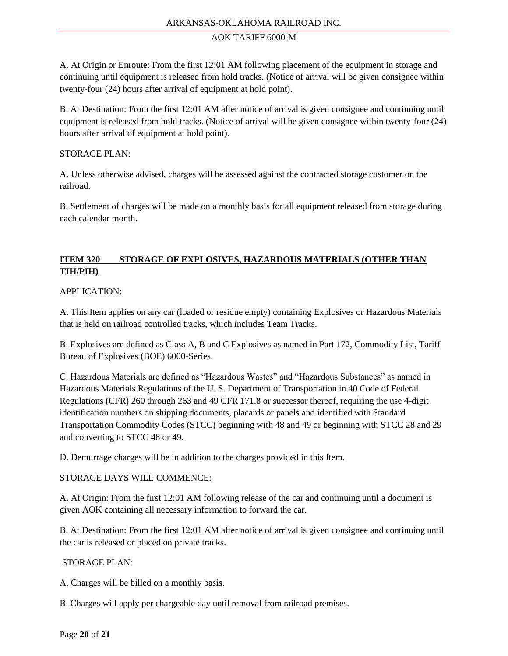A. At Origin or Enroute: From the first 12:01 AM following placement of the equipment in storage and continuing until equipment is released from hold tracks. (Notice of arrival will be given consignee within twenty-four (24) hours after arrival of equipment at hold point).

B. At Destination: From the first 12:01 AM after notice of arrival is given consignee and continuing until equipment is released from hold tracks. (Notice of arrival will be given consignee within twenty-four (24) hours after arrival of equipment at hold point).

## STORAGE PLAN:

A. Unless otherwise advised, charges will be assessed against the contracted storage customer on the railroad.

B. Settlement of charges will be made on a monthly basis for all equipment released from storage during each calendar month.

# **ITEM 320 STORAGE OF EXPLOSIVES, HAZARDOUS MATERIALS (OTHER THAN TIH/PIH)**

## APPLICATION:

A. This Item applies on any car (loaded or residue empty) containing Explosives or Hazardous Materials that is held on railroad controlled tracks, which includes Team Tracks.

B. Explosives are defined as Class A, B and C Explosives as named in Part 172, Commodity List, Tariff Bureau of Explosives (BOE) 6000-Series.

C. Hazardous Materials are defined as "Hazardous Wastes" and "Hazardous Substances" as named in Hazardous Materials Regulations of the U. S. Department of Transportation in 40 Code of Federal Regulations (CFR) 260 through 263 and 49 CFR 171.8 or successor thereof, requiring the use 4-digit identification numbers on shipping documents, placards or panels and identified with Standard Transportation Commodity Codes (STCC) beginning with 48 and 49 or beginning with STCC 28 and 29 and converting to STCC 48 or 49.

D. Demurrage charges will be in addition to the charges provided in this Item.

## STORAGE DAYS WILL COMMENCE:

A. At Origin: From the first 12:01 AM following release of the car and continuing until a document is given AOK containing all necessary information to forward the car.

B. At Destination: From the first 12:01 AM after notice of arrival is given consignee and continuing until the car is released or placed on private tracks.

## STORAGE PLAN:

A. Charges will be billed on a monthly basis.

B. Charges will apply per chargeable day until removal from railroad premises.